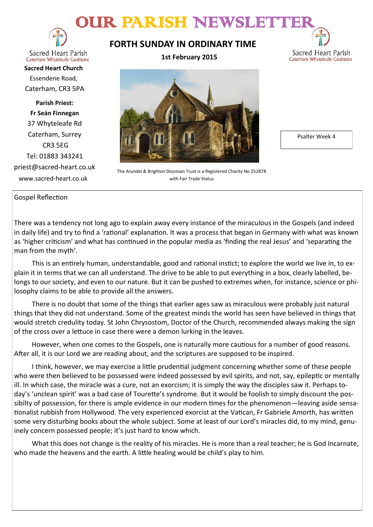# OUR PARISH NEWSLETT



**Sacred Heart Parish** Caterham Whyteleafe Godstone

**Sacred Heart Church** Essendene Road, Caterham, CR3 5PA

**Parish Priest: Fr Seán Finnegan** 37 Whyteleafe Rd Caterham, Surrey CR3 5EG Tel: 01883 343241 priest@sacred-heart.co.uk www.sacred-heart.co.uk

# **FORTH SUNDAY IN ORDINARY TIME**

**1st February 2015**



The Arundel & Brighton Diocesan Trust is a Registered Charity No 252878

with Fair Trade Status

Psalter Week 4

Sacred Heart Parish Caterham Whyteleafe Godstone

### Gospel Reflection

There was a tendency not long ago to explain away every instance of the miraculous in the Gospels (and indeed in daily life) and try to find a 'rational' explanation. It was a process that began in Germany with what was known as 'higher criticism' and what has continued in the popular media as 'finding the real Jesus' and 'separating the man from the myth'.

This is an entirely human, understandable, good and rational instict; to explore the world we live in, to explain it in terms that we can all understand. The drive to be able to put everything in a box, clearly labelled, belongs to our society, and even to our nature. But it can be pushed to extremes when, for instance, science or philosophy claims to be able to provide all the answers.

There is no doubt that some of the things that earlier ages saw as miraculous were probably just natural things that they did not understand. Some of the greatest minds the world has seen have believed in things that would stretch credulity today. St John Chrysostom, Doctor of the Church, recommended always making the sign of the cross over a lettuce in case there were a demon lurking in the leaves.

However, when one comes to the Gospels, one is naturally more cautious for a number of good reasons. After all, it is our Lord we are reading about, and the scriptures are supposed to be inspired.

I think, however, we may exercise a little prudential judgment concerning whether some of these people who were then believed to be possessed were indeed possessed by evil spirits, and not, say, epileptic or mentally ill. In which case, the miracle was a cure, not an exorcism; it is simply the way the disciples saw it. Perhaps today's 'unclean spirit' was a bad case of Tourette's syndrome. But it would be foolish to simply discount the possibilty of possession, for there is ample evidence in our modern times for the phenomenon—leaving aside sensationalist rubbish from Hollywood. The very experienced exorcist at the Vatican, Fr Gabriele Amorth, has written some very disturbing books about the whole subject. Some at least of our Lord's miracles did, to my mind, genuinely concern possessed people; it's just hard to know which.

What this does not change is the reality of his miracles. He is more than a real teacher; he is God Incarnate, who made the heavens and the earth. A little healing would be child's play to him.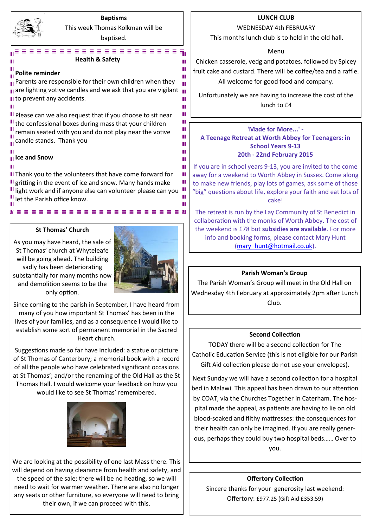

#### **Baptisms** This week Thomas Kolkman will be

baptised.

Ш Ш

Ш Ш Ш Ш Ш Ш Ш

Ш

#### **BEBBBBBBBBBBBBBB Health & Safety**

#### **Polite reminder**

 $\equiv$ 

Ш  $\frac{1}{10}$  Parents are responsible for their own children when they ш  $_{\text{III}}$  are lighting votive candles and we ask that you are vigilant  $_{\text{III}}$ III to prevent any accidents. ш Ш Ш

III Please can we also request that if you choose to sit near III the confessional boxes during mass that your children remain seated with you and do not play near the votive **T** candle stands. Thank you

### **Ice and Snow**

Ш

III Thank you to the volunteers that have come forward for Ш  $\mathbf{u}$  gritting in the event of ice and snow. Many hands make Ш III light work and if anyone else can volunteer please can you III III let the Parish office know. Ш Ш

.......................

#### **St Thomas' Church**

As you may have heard, the sale of St Thomas' church at Whyteleafe will be going ahead. The building sadly has been deteriorating substantially for many months now and demolition seems to be the only option.



Since coming to the parish in September, I have heard from many of you how important St Thomas' has been in the lives of your families, and as a consequence I would like to establish some sort of permanent memorial in the Sacred Heart church.

Suggestions made so far have included: a statue or picture of St Thomas of Canterbury; a memorial book with a record of all the people who have celebrated significant occasions at St Thomas'; and/or the renaming of the Old Hall as the St Thomas Hall. I would welcome your feedback on how you would like to see St Thomas' remembered.



We are looking at the possibility of one last Mass there. This will depend on having clearance from health and safety, and the speed of the sale; there will be no heating, so we will need to wait for warmer weather. There are also no longer any seats or other furniture, so everyone will need to bring their own, if we can proceed with this.

### **LUNCH CLUB**

#### WEDNESDAY 4th FEBRUARY

This months lunch club is to held in the old hall.

Menu

Chicken casserole, vedg and potatoes, followed by Spicey fruit cake and custard. There will be coffee/tea and a raffle. All welcome for good food and company.

Unfortunately we are having to increase the cost of the lunch to £4

#### **'Made for More...' - A Teenage Retreat at Worth Abbey for Teenagers: in School Years 9-13 20th - 22nd February 2015**

If you are in school years 9-13, you are invited to the come away for a weekend to Worth Abbey in Sussex. Come along to make new friends, play lots of games, ask some of those "big" questions about life, explore your faith and eat lots of cake!

The retreat is run by the Lay Community of St Benedict in collaboration with the monks of Worth Abbey. The cost of the weekend is £78 but **subsidies are available**. For more info and booking forms, please contact Mary Hunt [\(mary\\_hunt@hotmail.co.uk\).](mailto:katyrussell@hotmail.co.uk)

### **Parish Woman's Group**

The Parish Woman's Group will meet in the Old Hall on Wednesday 4th February at approximately 2pm after Lunch Club.

#### **Second Collection**

TODAY there will be a second collection for The Catholic Education Service (this is not eligible for our Parish Gift Aid collection please do not use your envelopes).

Next Sunday we will have a second collection for a hospital bed in Malawi. This appeal has been drawn to our attention by COAT, via the Churches Together in Caterham. The hospital made the appeal, as patients are having to lie on old blood-soaked and filthy mattresses: the consequences for their health can only be imagined. If you are really generous, perhaps they could buy two hospital beds…… Over to you.

### **Offertory Collection**

Sincere thanks for your generosity last weekend: Offertory: £977.25 (Gift Aid £353.59)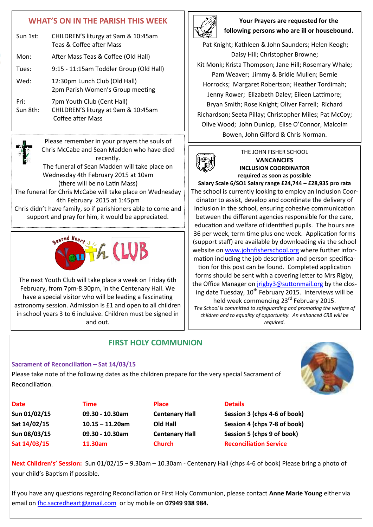# **WHAT'S ON IN THE PARISH THIS WEEK**

| Sun 1st:         | CHILDREN'S liturgy at 9am & 10:45am<br>Teas & Coffee after Mass                               |
|------------------|-----------------------------------------------------------------------------------------------|
| Mon:             | After Mass Teas & Coffee (Old Hall)                                                           |
| Tues:            | 9:15 - 11:15am Toddler Group (Old Hall)                                                       |
| Wed:             | 12:30pm Lunch Club (Old Hall)<br>2pm Parish Women's Group meeting                             |
| Fri:<br>Sun 8th: | 7pm Youth Club (Cent Hall)<br>CHILDREN'S liturgy at 9am & 10:45am<br><b>Coffee after Mass</b> |



Please remember in your prayers the souls of Chris McCabe and Sean Madden who have died recently. The funeral of Sean Madden will take place on Wednesday 4th February 2015 at 10am (there will be no Latin Mass)

The funeral for Chris McCabe will take place on Wednesday 4th February 2015 at 1:45pm Chris didn't have family, so if parishioners able to come and support and pray for him, it would be appreciated.



The next Youth Club will take place a week on Friday 6th February, from 7pm-8.30pm, in the Centenary Hall. We have a special visitor who will be leading a fascinating astronomy session. Admission is £1 and open to all children in school years 3 to 6 inclusive. Children must be signed in and out.

**Your Prayers are requested for the following persons who are ill or housebound.** 

Pat Knight; Kathleen & John Saunders; Helen Keogh; Daisy Hill; Christopher Browne; Kit Monk; Krista Thompson; Jane Hill; Rosemary Whale; Pam Weaver; Jimmy & Bridie Mullen; Bernie Horrocks; Margaret Robertson; Heather Tordimah; Jenny Rower; Elizabeth Daley; Eileen Lattimore; Bryan Smith; Rose Knight; Oliver Farrell; Richard Richardson; Seeta Pillay; Christopher Miles; Pat McCoy; Olive Wood; John Dunlop, Elise O'Connor, Malcolm

Bowen, John Gilford & Chris Norman.



#### THE JOHN FISHER SCHOOL **VANCANCIES INCLUSION COORDINATOR required as soon as possible**

**Salary Scale 6/SO1 Salary range £24,744 – £28,935 pro rata** The school is currently looking to employ an Inclusion Coordinator to assist, develop and coordinate the delivery of inclusion in the school, ensuring cohesive communication between the different agencies responsible for the care, education and welfare of identified pupils. The hours are 36 per week, term time plus one week. Application forms (support staff) are available by downloading via the school website on [www.johnfisherschool.org](http://www.johnfisherschool.org) where further information including the job description and person specification for this post can be found. Completed application forms should be sent with a covering letter to Mrs Rigby, the Office Manager on [jrigby3@suttonmail.org](mailto:jrigby3@suttonmail.org) by the closing date Tuesday, 10<sup>th</sup> February 2015. Interviews will be held week commencing 23<sup>rd</sup> February 2015.

*The School is committed to safeguarding and promoting the welfare of children and to equality of opportunity. An enhanced CRB will be required.*

## **FIRST HOLY COMMUNION**

### **Sacrament of Reconciliation – Sat 14/03/15**

Please take note of the following dates as the children prepare for the very special Sacrament of Reconciliation.



**Date CONS Time Place Details** 

**Sun 01/02/15 09.30 - 10.30am Centenary Hall Session 3 (chps 4-6 of book) Sat 14/02/15 10.15 – 11.20am Old Hall Session 4 (chps 7-8 of book) Sun 08/03/15 09.30 - 10.30am Centenary Hall Session 5 (chps 9 of book) Sat 14/03/15 11.30am Church Reconciliation Service**

**Next Children's' Session:** Sun 01/02/15 – 9.30am – 10.30am - Centenary Hall (chps 4-6 of book) Please bring a photo of your child's Baptism if possible.

If you have any questions regarding Reconciliation or First Holy Communion, please contact **Anne Marie Young** either via email on [fhc.sacredheart@gmail.com](mailto:fhc.sacredheart@gmail.com) or by mobile on **07949 938 984.**